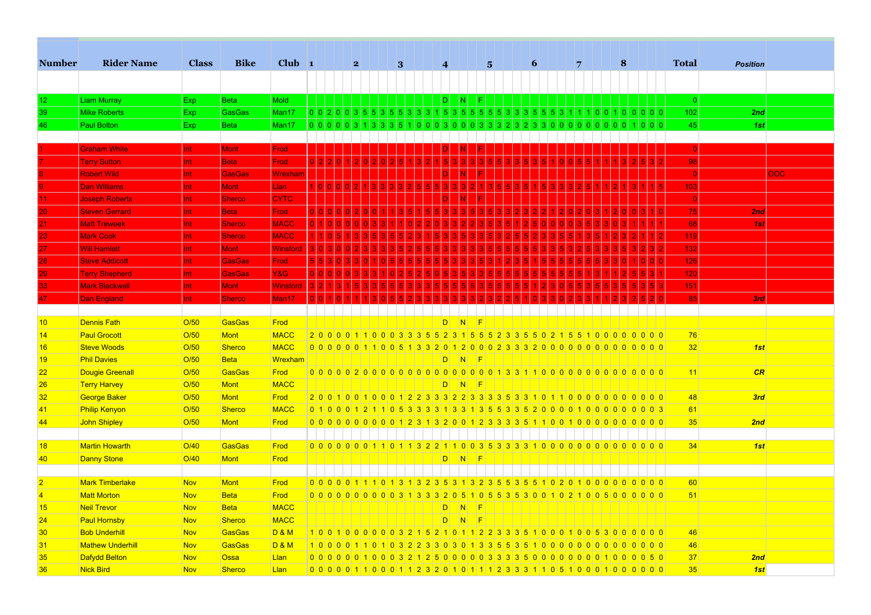| <b>Number</b>   | <b>Rider Name</b>       | <b>Class</b> | <b>Bike</b>   | Club $\vert$ 1  |             |  | 2             |                   | $\bf{3}$            |             | $\overline{\mathbf{4}}$ |                |                | $5\overline{5}$ | 6                                                                                   |       |                   | 7       | 8   |         | <b>Total</b>    | <b>Position</b> |     |
|-----------------|-------------------------|--------------|---------------|-----------------|-------------|--|---------------|-------------------|---------------------|-------------|-------------------------|----------------|----------------|-----------------|-------------------------------------------------------------------------------------|-------|-------------------|---------|-----|---------|-----------------|-----------------|-----|
|                 |                         |              |               |                 |             |  |               |                   |                     |             |                         |                |                |                 |                                                                                     |       |                   |         |     |         |                 |                 |     |
|                 |                         |              |               |                 |             |  |               |                   |                     |             |                         |                |                |                 |                                                                                     |       |                   |         |     |         |                 |                 |     |
| 12              | <b>Liam Murray</b>      | Exp          | <b>Beta</b>   | <b>Mold</b>     |             |  |               |                   |                     |             | ID.                     | IN.            | F.             |                 |                                                                                     |       |                   |         |     |         | $\vert 0 \vert$ |                 |     |
| 39              | <b>Mike Roberts</b>     | <b>Exp</b>   | GasGas        | Man17           |             |  |               | 0 0 2 0 0 3 5 5 3 | $5 \ 5 \ 3 \ 3 \ 3$ |             | 1 5 3                   | 5 <sup>1</sup> | 5 5            | 5 5 3           | 3 3 5                                                                               | 5 5 3 |                   |         |     |         | 102             | 2nd             |     |
| 46              | <b>Paul Bolton</b>      | <b>Exp</b>   | <b>Beta</b>   | Man17           | 0 0 0 0 0 3 |  |               |                   |                     |             | 0 3 0                   |                | 0 <sup>3</sup> |                 |                                                                                     | 0 0   |                   | 0 0     | 0 0 | 1 0 0 0 | 45              | 1st             |     |
|                 |                         |              |               |                 |             |  |               |                   |                     |             |                         |                |                |                 |                                                                                     |       |                   |         |     |         |                 |                 |     |
|                 | <b>Graham White</b>     | Int.         | <b>Mont</b>   | Frod            |             |  |               |                   |                     |             |                         |                |                |                 |                                                                                     |       |                   |         |     |         | $\overline{0}$  |                 |     |
|                 | <b>Terry Sutton</b>     | Int.         | <b>Beta</b>   | Frod            |             |  |               |                   |                     |             |                         |                |                |                 |                                                                                     |       |                   |         |     |         | 98              |                 |     |
|                 | <b>Robert Wild</b>      | Int.         | <b>GasGas</b> | Wrexham         |             |  |               |                   |                     |             |                         |                |                |                 |                                                                                     |       |                   |         |     |         |                 |                 | 00C |
|                 | <b>Dan Williams</b>     | Int.         | <b>Mont</b>   | Llan            |             |  |               |                   |                     |             |                         |                |                |                 |                                                                                     |       |                   |         |     |         | 103             |                 |     |
|                 | <b>Joseph Roberts</b>   | Int.         | <b>Sherco</b> | <b>CYTC</b>     |             |  |               |                   |                     |             |                         |                |                |                 |                                                                                     |       |                   |         |     |         |                 |                 |     |
| 20              | <b>Steven Gerrard</b>   | Int.         | <b>Beta</b>   | Frod            |             |  |               |                   |                     |             |                         |                |                |                 |                                                                                     |       |                   |         |     |         | 75              | 2nd             |     |
|                 | <b>Matt Treweek</b>     | Int.         | <b>Sherco</b> | <b>MACC</b>     |             |  |               |                   |                     |             |                         |                |                |                 |                                                                                     |       |                   |         |     |         | 68              | 1st             |     |
| 23              | <b>Mark Cook</b>        | Int.         | <b>Sherco</b> | <b>MACC</b>     |             |  |               |                   |                     |             |                         |                |                |                 |                                                                                     |       |                   |         |     |         | 119             |                 |     |
| 27              | <b>Will Hamlett</b>     | Int.         | Mont          | <b>Winsford</b> |             |  |               |                   |                     |             |                         |                |                |                 |                                                                                     |       |                   |         |     |         | 132             |                 |     |
| 28              | <b>Steve Addicott</b>   | Int.         | <b>GasGas</b> | Frod            |             |  |               |                   |                     |             |                         |                |                |                 |                                                                                     |       |                   |         |     |         | 126             |                 |     |
| 29              | <b>Terry Shepherd</b>   | Int.         | <b>GasGas</b> | Y&G             |             |  |               |                   |                     |             |                         |                |                |                 |                                                                                     |       |                   |         |     |         | 120             |                 |     |
| 33              | <b>Mark Blackwell</b>   | Int.         | <b>Mont</b>   | <b>Winsford</b> |             |  |               |                   |                     |             |                         |                |                |                 |                                                                                     |       |                   |         |     |         | 151             |                 |     |
| 47              | <b>Dan England</b>      | Int.         | <b>Sherco</b> | Man17           |             |  |               |                   |                     |             |                         |                |                |                 |                                                                                     |       |                   |         |     |         | 85              | 3rd             |     |
|                 |                         |              |               |                 |             |  |               |                   |                     |             |                         |                |                |                 |                                                                                     |       |                   |         |     |         |                 |                 |     |
| 10              | <b>Dennis Fath</b>      | O/50         | <b>GasGas</b> | Frod            |             |  |               |                   |                     |             | D.                      | N              | - F            |                 |                                                                                     |       |                   |         |     |         |                 |                 |     |
| 14              | <b>Paul Grocott</b>     | O/50         | Mont          | <b>MACC</b>     |             |  |               |                   |                     |             |                         |                |                |                 | 2 0 0 0 0 1 1 0 0 0 3 3 3 5 5 2 3 1 5 5 5 2 3 3 5 5 0 2 1 5 5 1 0 0 0 0 0 0 0 0     |       |                   |         |     |         | 76              |                 |     |
| 16              | <b>Steve Woods</b>      | O/50         | <b>Sherco</b> | <b>MACC</b>     |             |  |               |                   |                     |             |                         |                |                |                 |                                                                                     |       |                   |         |     |         | 32              | 1st             |     |
| 19              | <b>Phil Davies</b>      | O/50         | <b>Beta</b>   | Wrexham         |             |  |               |                   |                     |             |                         | $D$ $N$ $F$    |                |                 |                                                                                     |       |                   |         |     |         |                 |                 |     |
| 22              | <b>Dougie Greenall</b>  | O/50         | <b>GasGas</b> | Frod            |             |  |               |                   |                     |             |                         |                |                |                 |                                                                                     |       |                   |         |     |         | 11              | CR              |     |
| 26              | <b>Terry Harvey</b>     | O/50         | <b>Mont</b>   | MACC            |             |  |               |                   |                     |             | D                       |                | $ N $ $ F $    |                 |                                                                                     |       |                   |         |     |         |                 |                 |     |
| 32              | <b>George Baker</b>     | O/50         | Mont          | Frod            |             |  |               |                   |                     |             |                         |                |                |                 | 2 0 0 1 0 0 1 0 0 0 1 2 2 3 3 3 2 2 3 3 3 5 5 3 3 1 0 1 1 0 0 0 0 0 0 0 0 0 0 0 0   |       |                   |         |     |         | 48              | 3rd             |     |
| 41              | <b>Philip Kenyon</b>    | O/50         | <b>Sherco</b> | <b>MACC</b>     |             |  |               |                   |                     |             |                         |                |                |                 | 0 1 0 0 0 1 2 1 1 0 5 3 3 3 4 3 5 4 3 5 5 3 3 5 2 0 0 0 0 1 0 0 0 0 0 0 0 0 0 3     |       |                   |         |     |         | 61              |                 |     |
| 44              | John Shipley            | O/50         | <b>Mont</b>   | Frod            |             |  |               |                   |                     |             |                         |                |                |                 | 0 0 0 0 0 0 0 0 0 0 0 1 2 3 1 3 2 0 0 1 2 3 3 3 3 5 1 1 0 0 1 0 0 0 0 0 0 0 0 0 0 0 |       |                   |         |     |         | 35              | 2nd             |     |
|                 |                         |              |               |                 |             |  |               |                   |                     |             |                         |                |                |                 |                                                                                     |       |                   |         |     |         |                 |                 |     |
| 18              | <b>Martin Howarth</b>   | O/40         | GasGas        | Frod            |             |  |               |                   |                     |             |                         |                |                |                 | 0 0 0 0 0 0 0 1 1 0 1 1 3 2 2 1 1 0 0 3 5 3 3 3 4 0 0 0 0 0 0 0 0 0 0 0 0 0 0 0     |       |                   |         |     |         | 34              | 1st             |     |
| 40              | <b>Danny Stone</b>      | O/40         | <b>Mont</b>   | Frod            |             |  |               |                   |                     |             |                         | $D$ $N$ $F$    |                |                 |                                                                                     |       |                   |         |     |         |                 |                 |     |
|                 |                         |              |               |                 |             |  |               |                   |                     |             |                         |                |                |                 |                                                                                     |       |                   |         |     |         |                 |                 |     |
| 2               | <b>Mark Timberlake</b>  | <b>Nov</b>   | <b>Mont</b>   | Frod            |             |  | 0 0 0 0 0 1 1 | $\Omega$          | 3                   | 1 3 2 3 5 3 |                         |                |                | 32355355        |                                                                                     |       | $0\vert 2\vert 0$ | 1000000 |     | 0000    | 60              |                 |     |
| $\vert 4 \vert$ | <b>Matt Morton</b>      | <b>Nov</b>   | <b>Beta</b>   | Frod            |             |  |               |                   |                     |             |                         |                |                |                 | 0 0 0 0 0 0 0 0 0 0 0 3 1 3 3 3 2 0 5 1 0 5 5 3 5 3 0 0 1 0 2 1 0 0 5 0 0 0 0 0 0   |       |                   |         |     |         | 51              |                 |     |
| 15              | <b>Neil Trevor</b>      | <b>Nov</b>   | <b>Beta</b>   | <b>MACC</b>     |             |  |               |                   |                     |             | $\overline{D}$          | $\sqrt{N}$     | - F            |                 |                                                                                     |       |                   |         |     |         |                 |                 |     |
| 24              | <b>Paul Hornsby</b>     | <b>Nov</b>   | <b>Sherco</b> | <b>MACC</b>     |             |  |               |                   |                     |             | D                       |                | $ N $ $ F $    |                 |                                                                                     |       |                   |         |     |         |                 |                 |     |
| 30              | <b>Bob Underhill</b>    | <b>Nov</b>   | <b>GasGas</b> | <b>D&amp;M</b>  |             |  |               |                   |                     |             |                         |                |                |                 | 1001000000321521011223335100010053000000                                            |       |                   |         |     |         | 46              |                 |     |
| 31              | <b>Mathew Underhill</b> | <b>Nov</b>   | <b>GasGas</b> | <b>D&amp;M</b>  |             |  |               |                   |                     |             |                         |                |                |                 |                                                                                     |       |                   |         |     |         | 46              |                 |     |
| 35              | <b>Dafydd Belton</b>    | <b>Nov</b>   | <b>Ossa</b>   | Llan            |             |  |               |                   |                     |             |                         |                |                |                 | 0 0 0 0 0 0 1 0 0 0 3 2 1 2 5 0 0 0 0 0 3 3 3 5 0 0 0 0 0 0 0 0 0 1 0 0 0 5 0       |       |                   |         |     |         | 37              | 2nd             |     |
| 36              | <b>Nick Bird</b>        | <b>Nov</b>   | <b>Sherco</b> | Llan            |             |  |               |                   |                     |             |                         |                |                |                 | 0 0 0 0 0 1 1 0 0 0 1 1 2 3 2 0 1 0 1 1 1 2 3 3 3 1 1 0 5 1 0 0 0 1 0 0 0 0 0 0     |       |                   |         |     |         | 35              | 1st             |     |

<u> 1949 - Johann Johann Harris, mars eta bainar eta politikaria (h. 1989).</u>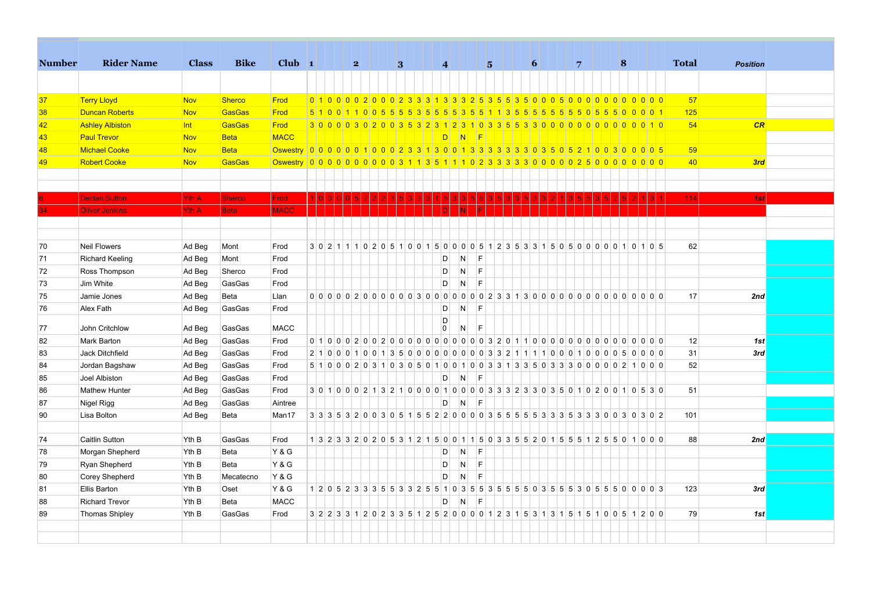| <b>Number</b> | <b>Rider Name</b>      | <b>Class</b> | <b>Bike</b>   | Club $\vert$ 1                                                                         |  |   |  |                 |  |                |           |                 |           |                                                                                   |  |                 |  |   |  |   |             |  |              |                 |  |
|---------------|------------------------|--------------|---------------|----------------------------------------------------------------------------------------|--|---|--|-----------------|--|----------------|-----------|-----------------|-----------|-----------------------------------------------------------------------------------|--|-----------------|--|---|--|---|-------------|--|--------------|-----------------|--|
|               |                        |              |               |                                                                                        |  | 2 |  | $\vert 3 \vert$ |  |                | $\vert$ 4 |                 |           | $\vert$ 5 $\vert$                                                                 |  | $\vert 6 \vert$ |  | 7 |  | 8 |             |  | <b>Total</b> | <b>Position</b> |  |
|               |                        |              |               |                                                                                        |  |   |  |                 |  |                |           |                 |           |                                                                                   |  |                 |  |   |  |   |             |  |              |                 |  |
| 37            | <b>Terry Lloyd</b>     | <b>Nov</b>   | <b>Sherco</b> | Frod                                                                                   |  |   |  |                 |  |                |           |                 |           | 0 1 0 0 0 0 2 0 0 0 2 3 3 4 3 4 3 4 5 5 6 7 6 7 0 0 0 5 0 0 0 0 0 0 0 0 0 0 0 0   |  |                 |  |   |  |   |             |  | 57           |                 |  |
| 38            | <b>Duncan Roberts</b>  | <b>Nov</b>   | GasGas        | Frod                                                                                   |  |   |  |                 |  |                |           |                 |           | 5 1 0 0 1 1 0 0 5 5 5 5 3 5 5 5 6 5 6 5 6 1 1 3 5 5 5 5 5 6                       |  |                 |  |   |  |   | 55055500001 |  | 125          |                 |  |
| 42            | <b>Ashley Albiston</b> | Int          | GasGas        | Frod                                                                                   |  |   |  |                 |  |                |           |                 |           |                                                                                   |  |                 |  |   |  |   |             |  | 54           | CR              |  |
| 43            | <b>Paul Trevor</b>     | <b>Nov</b>   | <b>Beta</b>   | <b>MACC</b>                                                                            |  |   |  |                 |  |                |           | $D$ $N$ $F$     |           |                                                                                   |  |                 |  |   |  |   |             |  |              |                 |  |
| 48            | Michael Cooke          | <b>Nov</b>   | <b>Beta</b>   | Oswestry 0 0 0 0 0 0 1 0 0 0 2 3 3 1 3 0 0 1 3 3 3 3 3 3 3 3 6 5 6 7 1 0 0 3 0 0 0 0 5 |  |   |  |                 |  |                |           |                 |           |                                                                                   |  |                 |  |   |  |   |             |  | 59           |                 |  |
| 49            | <b>Robert Cooke</b>    | <b>Nov</b>   | GasGas        | Oswestry 00000000000311351110233333000002500000000                                     |  |   |  |                 |  |                |           |                 |           |                                                                                   |  |                 |  |   |  |   |             |  | 40           | 3rd             |  |
|               |                        |              |               |                                                                                        |  |   |  |                 |  |                |           |                 |           |                                                                                   |  |                 |  |   |  |   |             |  |              |                 |  |
|               |                        |              |               |                                                                                        |  |   |  |                 |  |                |           |                 |           |                                                                                   |  |                 |  |   |  |   |             |  |              |                 |  |
|               | <b>Declan Sutton</b>   | <b>Yth A</b> | <b>Sherco</b> | <b>Frod</b>                                                                            |  |   |  |                 |  |                |           |                 |           |                                                                                   |  |                 |  |   |  |   |             |  | 114          | 1st             |  |
|               | <b>Oliver Jenkins</b>  | Yth A        | <b>Beta</b>   | <b>MACC</b>                                                                            |  |   |  |                 |  |                |           |                 |           |                                                                                   |  |                 |  |   |  |   |             |  |              |                 |  |
|               |                        |              |               |                                                                                        |  |   |  |                 |  |                |           |                 |           |                                                                                   |  |                 |  |   |  |   |             |  |              |                 |  |
|               |                        |              |               |                                                                                        |  |   |  |                 |  |                |           |                 |           |                                                                                   |  |                 |  |   |  |   |             |  |              |                 |  |
| 70            | <b>Neil Flowers</b>    | Ad Beg       | Mont          | Frod                                                                                   |  |   |  |                 |  |                |           |                 |           | 3 0 2 1 1 1 0 2 0 5 1 0 0 1 5 0 0 0 0 5 1 2 3 5 3 3 1 5 0 5 0 0 0 0 0 1 0 1 0 5   |  |                 |  |   |  |   |             |  | 62           |                 |  |
| 71            | <b>Richard Keeling</b> | Ad Beg       | Mont          | Frod                                                                                   |  |   |  |                 |  |                | D         | $\overline{N}$  | <b>IF</b> |                                                                                   |  |                 |  |   |  |   |             |  |              |                 |  |
| 72            | Ross Thompson          | Ad Beg       | Sherco        | Frod                                                                                   |  |   |  |                 |  |                | D         | $\vert N \vert$ | IF.       |                                                                                   |  |                 |  |   |  |   |             |  |              |                 |  |
| 73            | Jim White              | Ad Beg       | GasGas        | Frod                                                                                   |  |   |  |                 |  |                | D         | $\overline{N}$  | E         |                                                                                   |  |                 |  |   |  |   |             |  |              |                 |  |
| 75            | Jamie Jones            | Ad Beg       | Beta          | Llan                                                                                   |  |   |  |                 |  |                |           |                 |           |                                                                                   |  |                 |  |   |  |   |             |  | 17           | 2nd             |  |
| 76            | Alex Fath              | Ad Beg       | GasGas        | Frod                                                                                   |  |   |  |                 |  |                | D         | N               | <b>F</b>  |                                                                                   |  |                 |  |   |  |   |             |  |              |                 |  |
| 77            | John Critchlow         | Ad Beg       | GasGas        | <b>MACC</b>                                                                            |  |   |  |                 |  | $\overline{0}$ | D         | N               | F         |                                                                                   |  |                 |  |   |  |   |             |  |              |                 |  |
| 82            | Mark Barton            | Ad Beg       | GasGas        | Frod                                                                                   |  |   |  |                 |  |                |           |                 |           |                                                                                   |  |                 |  |   |  |   |             |  | 12           | 1st             |  |
| 83            | Jack Ditchfield        | Ad Beg       | GasGas        | Frod                                                                                   |  |   |  |                 |  |                |           |                 |           | 2 1 0 0 0 1 0 0 1 3 5 0 0 0 0 0 0 0 0 0 0 3 3 2 1 1 1 1 0 0 0 1 0 0 0 0 5 0 0 0 0 |  |                 |  |   |  |   |             |  | 31           | 3rd             |  |
| 84            | Jordan Bagshaw         | Ad Beg       | GasGas        | Frod                                                                                   |  |   |  |                 |  |                |           |                 |           | 5 1 0 0 0 2 0 3 1 0 3 0 5 0 1 0 0 1 0 0 3 3 1 3 3 5 0 3 3 3 0 0 0 0 0 2 1 0 0 0   |  |                 |  |   |  |   |             |  | 52           |                 |  |
| 85            | Joel Albiston          | Ad Beg       | GasGas        | Frod                                                                                   |  |   |  |                 |  |                | D         | $\overline{N}$  | E         |                                                                                   |  |                 |  |   |  |   |             |  |              |                 |  |
| 86            | <b>Mathew Hunter</b>   | Ad Beg       | GasGas        | Frod                                                                                   |  |   |  |                 |  |                |           |                 |           | 3 0 1 0 0 0 2 1 3 2 1 0 0 0 0 1 0 0 0 0 3 3 3 2 3 3 0 3 5 0 1 0 2 0 0 1 0 5 3 0   |  |                 |  |   |  |   |             |  | 51           |                 |  |
| 87            | Nigel Rigg             | Ad Beg       | GasGas        | Aintree                                                                                |  |   |  |                 |  |                | D         | $\overline{N}$  | F         |                                                                                   |  |                 |  |   |  |   |             |  |              |                 |  |
| 90            | Lisa Bolton            | Ad Beg       | Beta          | Man17                                                                                  |  |   |  |                 |  |                |           |                 |           |                                                                                   |  |                 |  |   |  |   |             |  | 101          |                 |  |
|               |                        |              |               |                                                                                        |  |   |  |                 |  |                |           |                 |           |                                                                                   |  |                 |  |   |  |   |             |  |              |                 |  |
| 74            | Caitlin Sutton         | Yth B        | GasGas        | Frod                                                                                   |  |   |  |                 |  |                |           |                 |           | 1 3 2 3 3 2 0 2 0 5 3 1 2 1 5 0 0 1 1 5 0 3 3 5 5 2 0 1 5 5 5 1 2 5 5 0 1 0 0 0   |  |                 |  |   |  |   |             |  | 88           | 2nd             |  |
| 78            | Morgan Shepherd        | Yth B        | Beta          | <b>Y&amp;G</b>                                                                         |  |   |  |                 |  |                | D         | <sup>N</sup>    | E         |                                                                                   |  |                 |  |   |  |   |             |  |              |                 |  |
| 79            | Ryan Shepherd          | Yth B        | Beta          | <b>Y&amp;G</b>                                                                         |  |   |  |                 |  |                | D         | N               | F         |                                                                                   |  |                 |  |   |  |   |             |  |              |                 |  |
| 80            | <b>Corey Shepherd</b>  | Yth B        | Mecatecno     | <b>Y&amp;G</b>                                                                         |  |   |  |                 |  |                | D         | N               | F         |                                                                                   |  |                 |  |   |  |   |             |  |              |                 |  |
| 81            | Ellis Barton           | Yth B        | Oset          | <b>Y&amp;G</b>                                                                         |  |   |  |                 |  |                |           |                 |           | $12052333553325510355335550355530555005600003$                                    |  |                 |  |   |  |   |             |  | 123          | 3rd             |  |
| 88            | <b>Richard Trevor</b>  | Yth B        | Beta          | <b>MACC</b>                                                                            |  |   |  |                 |  |                | D.        | N               | E         |                                                                                   |  |                 |  |   |  |   |             |  |              |                 |  |
| 89            | <b>Thomas Shipley</b>  | Yth B        | GasGas        | Frod                                                                                   |  |   |  |                 |  |                |           |                 |           | 3 2 2 3 3 1 2 0 2 3 3 5 1 2 5 2 0 0 0 0 1 2 3 1 5 3 1 3 1 5 1 5 1 0 0 5 1 2 0 0   |  |                 |  |   |  |   |             |  | 79           | 1st             |  |
|               |                        |              |               |                                                                                        |  |   |  |                 |  |                |           |                 |           |                                                                                   |  |                 |  |   |  |   |             |  |              |                 |  |
|               |                        |              |               |                                                                                        |  |   |  |                 |  |                |           |                 |           |                                                                                   |  |                 |  |   |  |   |             |  |              |                 |  |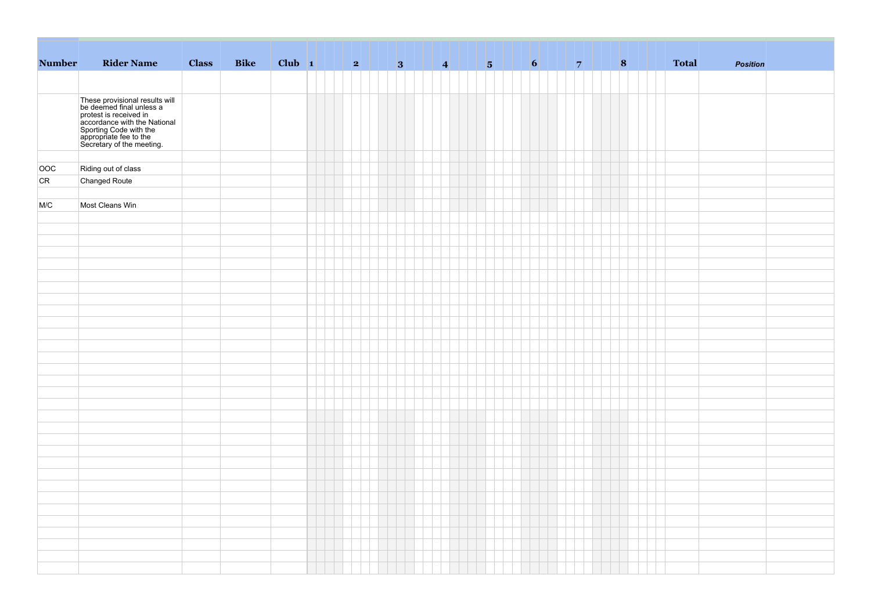| <b>Number</b> | <b>Rider Name</b>                                                                                                                                                                                     | <b>Class</b> | <b>Bike</b> |  |  |  |  |  |  |  | 8 | <b>Total</b> | <b>Position</b> |  |
|---------------|-------------------------------------------------------------------------------------------------------------------------------------------------------------------------------------------------------|--------------|-------------|--|--|--|--|--|--|--|---|--------------|-----------------|--|
|               |                                                                                                                                                                                                       |              |             |  |  |  |  |  |  |  |   |              |                 |  |
|               |                                                                                                                                                                                                       |              |             |  |  |  |  |  |  |  |   |              |                 |  |
|               | These provisional results will<br>be deemed final unless a<br>protest is received in<br>accordance with the National<br>Sporting Code with the<br>appropriate fee to the<br>Secretary of the meeting. |              |             |  |  |  |  |  |  |  |   |              |                 |  |
|               |                                                                                                                                                                                                       |              |             |  |  |  |  |  |  |  |   |              |                 |  |
|               |                                                                                                                                                                                                       |              |             |  |  |  |  |  |  |  |   |              |                 |  |
| OOC           | Riding out of class                                                                                                                                                                                   |              |             |  |  |  |  |  |  |  |   |              |                 |  |
| CR            | Changed Route                                                                                                                                                                                         |              |             |  |  |  |  |  |  |  |   |              |                 |  |
|               |                                                                                                                                                                                                       |              |             |  |  |  |  |  |  |  |   |              |                 |  |
| M/C           | Most Cleans Win                                                                                                                                                                                       |              |             |  |  |  |  |  |  |  |   |              |                 |  |
|               |                                                                                                                                                                                                       |              |             |  |  |  |  |  |  |  |   |              |                 |  |
|               |                                                                                                                                                                                                       |              |             |  |  |  |  |  |  |  |   |              |                 |  |
|               |                                                                                                                                                                                                       |              |             |  |  |  |  |  |  |  |   |              |                 |  |
|               |                                                                                                                                                                                                       |              |             |  |  |  |  |  |  |  |   |              |                 |  |
|               |                                                                                                                                                                                                       |              |             |  |  |  |  |  |  |  |   |              |                 |  |
|               |                                                                                                                                                                                                       |              |             |  |  |  |  |  |  |  |   |              |                 |  |
|               |                                                                                                                                                                                                       |              |             |  |  |  |  |  |  |  |   |              |                 |  |
|               |                                                                                                                                                                                                       |              |             |  |  |  |  |  |  |  |   |              |                 |  |
|               |                                                                                                                                                                                                       |              |             |  |  |  |  |  |  |  |   |              |                 |  |
|               |                                                                                                                                                                                                       |              |             |  |  |  |  |  |  |  |   |              |                 |  |
|               |                                                                                                                                                                                                       |              |             |  |  |  |  |  |  |  |   |              |                 |  |
|               |                                                                                                                                                                                                       |              |             |  |  |  |  |  |  |  |   |              |                 |  |
|               |                                                                                                                                                                                                       |              |             |  |  |  |  |  |  |  |   |              |                 |  |
|               |                                                                                                                                                                                                       |              |             |  |  |  |  |  |  |  |   |              |                 |  |
|               |                                                                                                                                                                                                       |              |             |  |  |  |  |  |  |  |   |              |                 |  |
|               |                                                                                                                                                                                                       |              |             |  |  |  |  |  |  |  |   |              |                 |  |
|               |                                                                                                                                                                                                       |              |             |  |  |  |  |  |  |  |   |              |                 |  |
|               |                                                                                                                                                                                                       |              |             |  |  |  |  |  |  |  |   |              |                 |  |
|               |                                                                                                                                                                                                       |              |             |  |  |  |  |  |  |  |   |              |                 |  |
|               |                                                                                                                                                                                                       |              |             |  |  |  |  |  |  |  |   |              |                 |  |
|               |                                                                                                                                                                                                       |              |             |  |  |  |  |  |  |  |   |              |                 |  |
|               |                                                                                                                                                                                                       |              |             |  |  |  |  |  |  |  |   |              |                 |  |
|               |                                                                                                                                                                                                       |              |             |  |  |  |  |  |  |  |   |              |                 |  |
|               |                                                                                                                                                                                                       |              |             |  |  |  |  |  |  |  |   |              |                 |  |
|               |                                                                                                                                                                                                       |              |             |  |  |  |  |  |  |  |   |              |                 |  |
|               |                                                                                                                                                                                                       |              |             |  |  |  |  |  |  |  |   |              |                 |  |
|               |                                                                                                                                                                                                       |              |             |  |  |  |  |  |  |  |   |              |                 |  |
|               |                                                                                                                                                                                                       |              |             |  |  |  |  |  |  |  |   |              |                 |  |
|               |                                                                                                                                                                                                       |              |             |  |  |  |  |  |  |  |   |              |                 |  |